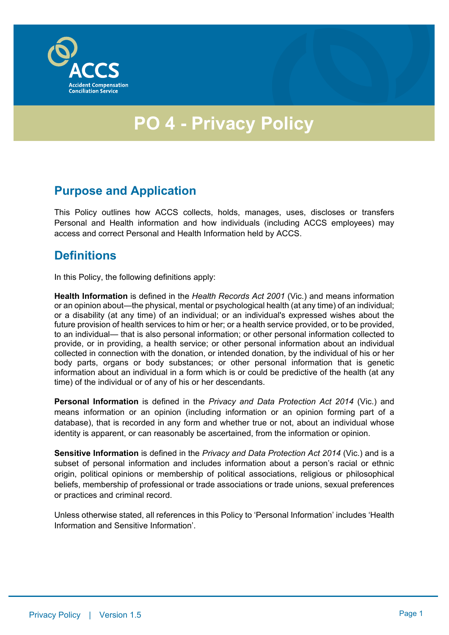

# **PO 4 - Privacy Policy**

#### **Purpose and Application**

This Policy outlines how ACCS collects, holds, manages, uses, discloses or transfers Personal and Health information and how individuals (including ACCS employees) may access and correct Personal and Health Information held by ACCS.

## **Definitions**

In this Policy, the following definitions apply:

**Health Information** is defined in the *Health Records Act 2001* (Vic.) and means information or an opinion about—the physical, mental or psychological health (at any time) of an individual; or a disability (at any time) of an individual; or an individual's expressed wishes about the future provision of health services to him or her; or a health service provided, or to be provided, to an individual— that is also personal information; or other personal information collected to provide, or in providing, a health service; or other personal information about an individual collected in connection with the donation, or intended donation, by the individual of his or her body parts, organs or body substances; or other personal information that is genetic information about an individual in a form which is or could be predictive of the health (at any time) of the individual or of any of his or her descendants.

**Personal Information** is defined in the *Privacy and Data Protection Act 2014* (Vic.) and means information or an opinion (including information or an opinion forming part of a database), that is recorded in any form and whether true or not, about an individual whose identity is apparent, or can reasonably be ascertained, from the information or opinion.

**Sensitive Information** is defined in the *Privacy and Data Protection Act 2014* (Vic.) and is a subset of personal information and includes information about a person's racial or ethnic origin, political opinions or membership of political associations, religious or philosophical beliefs, membership of professional or trade associations or trade unions, sexual preferences or practices and criminal record.

Unless otherwise stated, all references in this Policy to 'Personal Information' includes 'Health Information and Sensitive Information'.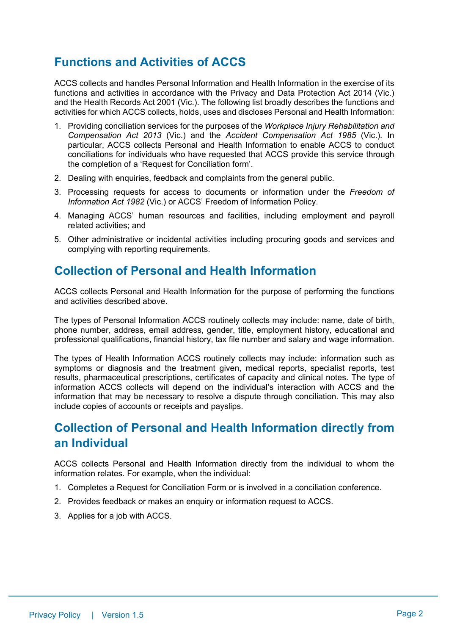# **Functions and Activities of ACCS**

ACCS collects and handles Personal Information and Health Information in the exercise of its functions and activities in accordance with the Privacy and Data Protection Act 2014 (Vic.) and the Health Records Act 2001 (Vic.). The following list broadly describes the functions and activities for which ACCS collects, holds, uses and discloses Personal and Health Information:

- 1. Providing conciliation services for the purposes of the *Workplace Injury Rehabilitation and Compensation Act 2013* (Vic.) and the *Accident Compensation Act 1985* (Vic.)*.* In particular, ACCS collects Personal and Health Information to enable ACCS to conduct conciliations for individuals who have requested that ACCS provide this service through the completion of a 'Request for Conciliation form'.
- 2. Dealing with enquiries, feedback and complaints from the general public.
- 3. Processing requests for access to documents or information under the *Freedom of Information Act 1982* (Vic.) or ACCS' Freedom of Information Policy.
- 4. Managing ACCS' human resources and facilities, including employment and payroll related activities; and
- 5. Other administrative or incidental activities including procuring goods and services and complying with reporting requirements.

#### **Collection of Personal and Health Information**

ACCS collects Personal and Health Information for the purpose of performing the functions and activities described above.

The types of Personal Information ACCS routinely collects may include: name, date of birth, phone number, address, email address, gender, title, employment history, educational and professional qualifications, financial history, tax file number and salary and wage information.

The types of Health Information ACCS routinely collects may include: information such as symptoms or diagnosis and the treatment given, medical reports, specialist reports, test results, pharmaceutical prescriptions, certificates of capacity and clinical notes. The type of information ACCS collects will depend on the individual's interaction with ACCS and the information that may be necessary to resolve a dispute through conciliation. This may also include copies of accounts or receipts and payslips.

## **Collection of Personal and Health Information directly from an Individual**

ACCS collects Personal and Health Information directly from the individual to whom the information relates. For example, when the individual:

- 1. Completes a Request for Conciliation Form or is involved in a conciliation conference.
- 2. Provides feedback or makes an enquiry or information request to ACCS.
- 3. Applies for a job with ACCS.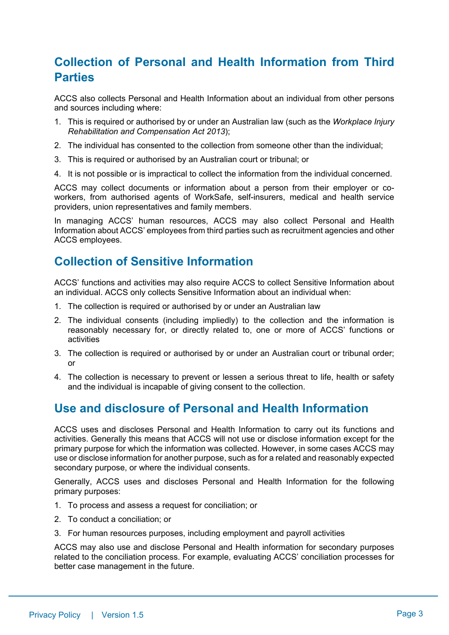## **Collection of Personal and Health Information from Third Parties**

ACCS also collects Personal and Health Information about an individual from other persons and sources including where:

- 1. This is required or authorised by or under an Australian law (such as the *Workplace Injury Rehabilitation and Compensation Act 2013*);
- 2. The individual has consented to the collection from someone other than the individual;
- 3. This is required or authorised by an Australian court or tribunal; or
- 4. It is not possible or is impractical to collect the information from the individual concerned.

ACCS may collect documents or information about a person from their employer or coworkers, from authorised agents of WorkSafe, self-insurers, medical and health service providers, union representatives and family members.

In managing ACCS' human resources, ACCS may also collect Personal and Health Information about ACCS' employees from third parties such as recruitment agencies and other ACCS employees.

## **Collection of Sensitive Information**

ACCS' functions and activities may also require ACCS to collect Sensitive Information about an individual. ACCS only collects Sensitive Information about an individual when:

- 1. The collection is required or authorised by or under an Australian law
- 2. The individual consents (including impliedly) to the collection and the information is reasonably necessary for, or directly related to, one or more of ACCS' functions or activities
- 3. The collection is required or authorised by or under an Australian court or tribunal order; or
- 4. The collection is necessary to prevent or lessen a serious threat to life, health or safety and the individual is incapable of giving consent to the collection.

#### **Use and disclosure of Personal and Health Information**

ACCS uses and discloses Personal and Health Information to carry out its functions and activities. Generally this means that ACCS will not use or disclose information except for the primary purpose for which the information was collected. However, in some cases ACCS may use or disclose information for another purpose, such as for a related and reasonably expected secondary purpose, or where the individual consents.

Generally, ACCS uses and discloses Personal and Health Information for the following primary purposes:

- 1. To process and assess a request for conciliation; or
- 2. To conduct a conciliation; or
- 3. For human resources purposes, including employment and payroll activities

ACCS may also use and disclose Personal and Health information for secondary purposes related to the conciliation process. For example, evaluating ACCS' conciliation processes for better case management in the future.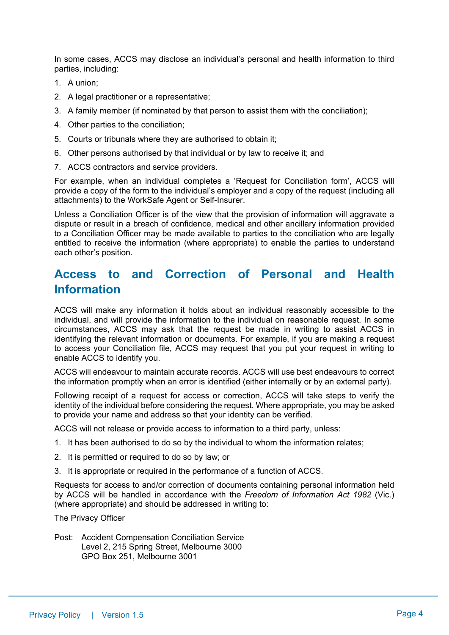In some cases, ACCS may disclose an individual's personal and health information to third parties, including:

- 1. A union;
- 2. A legal practitioner or a representative:
- 3. A family member (if nominated by that person to assist them with the conciliation);
- 4. Other parties to the conciliation;
- 5. Courts or tribunals where they are authorised to obtain it;
- 6. Other persons authorised by that individual or by law to receive it; and
- 7. ACCS contractors and service providers.

For example, when an individual completes a 'Request for Conciliation form', ACCS will provide a copy of the form to the individual's employer and a copy of the request (including all attachments) to the WorkSafe Agent or Self-Insurer.

Unless a Conciliation Officer is of the view that the provision of information will aggravate a dispute or result in a breach of confidence, medical and other ancillary information provided to a Conciliation Officer may be made available to parties to the conciliation who are legally entitled to receive the information (where appropriate) to enable the parties to understand each other's position.

### **Access to and Correction of Personal and Health Information**

ACCS will make any information it holds about an individual reasonably accessible to the individual, and will provide the information to the individual on reasonable request. In some circumstances, ACCS may ask that the request be made in writing to assist ACCS in identifying the relevant information or documents. For example, if you are making a request to access your Conciliation file, ACCS may request that you put your request in writing to enable ACCS to identify you.

ACCS will endeavour to maintain accurate records. ACCS will use best endeavours to correct the information promptly when an error is identified (either internally or by an external party).

Following receipt of a request for access or correction, ACCS will take steps to verify the identity of the individual before considering the request. Where appropriate, you may be asked to provide your name and address so that your identity can be verified.

ACCS will not release or provide access to information to a third party, unless:

- 1. It has been authorised to do so by the individual to whom the information relates;
- 2. It is permitted or required to do so by law; or
- 3. It is appropriate or required in the performance of a function of ACCS.

Requests for access to and/or correction of documents containing personal information held by ACCS will be handled in accordance with the *Freedom of Information Act 1982* (Vic.) (where appropriate) and should be addressed in writing to:

The Privacy Officer

Post: Accident Compensation Conciliation Service Level 2, 215 Spring Street, Melbourne 3000 GPO Box 251, Melbourne 3001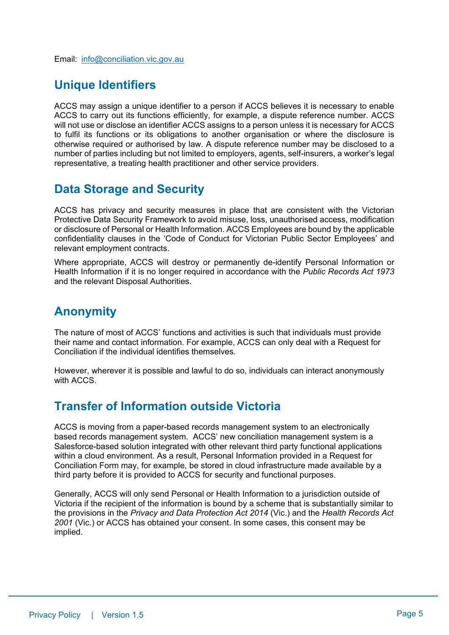## **Unique Identifiers**

ACCS may assign a unique identifier to a person if ACCS believes it is necessary to enable ACCS to carry out its functions efficiently, for example, a dispute reference number. ACCS will not use or disclose an identifier ACCS assigns to a person unless it is necessary for ACCS to fulfil its functions or its obligations to another organisation or where the disclosure is otherwise required or authorised by law. A dispute reference number may be disclosed to a number of parties including but not limited to employers, agents, self-insurers, a worker's legal representative, a treating health practitioner and other service providers.

## **Data Storage and Security**

ACCS has privacy and security measures in place that are consistent with the Victorian Protective Data Security Framework to avoid misuse, loss, unauthorised access, modification or disclosure of Personal or Health Information. ACCS Employees are bound by the applicable confidentiality clauses in the 'Code of Conduct for Victorian Public Sector Employees' and relevant employment contracts.

Where appropriate, ACCS will destroy or permanently de-identify Personal Information or Health Information if it is no longer required in accordance with the *Public Records Act 1973*  and the relevant Disposal Authorities.

## **Anonymity**

The nature of most of ACCS' functions and activities is such that individuals must provide their name and contact information. For example, ACCS can only deal with a Request for Conciliation if the individual identifies themselves.

However, wherever it is possible and lawful to do so, individuals can interact anonymously with ACCS.

## **Transfer of Information outside Victoria**

ACCS is moving from a paper-based records management system to an electronically based records management system. ACCS' new conciliation management system is a Salesforce-based solution integrated with other relevant third party functional applications within a cloud environment. As a result, Personal Information provided in a Request for Conciliation Form may, for example, be stored in cloud infrastructure made available by a third party before it is provided to ACCS for security and functional purposes.

Generally, ACCS will only send Personal or Health Information to a jurisdiction outside of Victoria if the recipient of the information is bound by a scheme that is substantially similar to the provisions in the *Privacy and Data Protection Act 2014* (Vic.) and the *Health Records Act 2001* (Vic.) or ACCS has obtained your consent. In some cases, this consent may be implied.